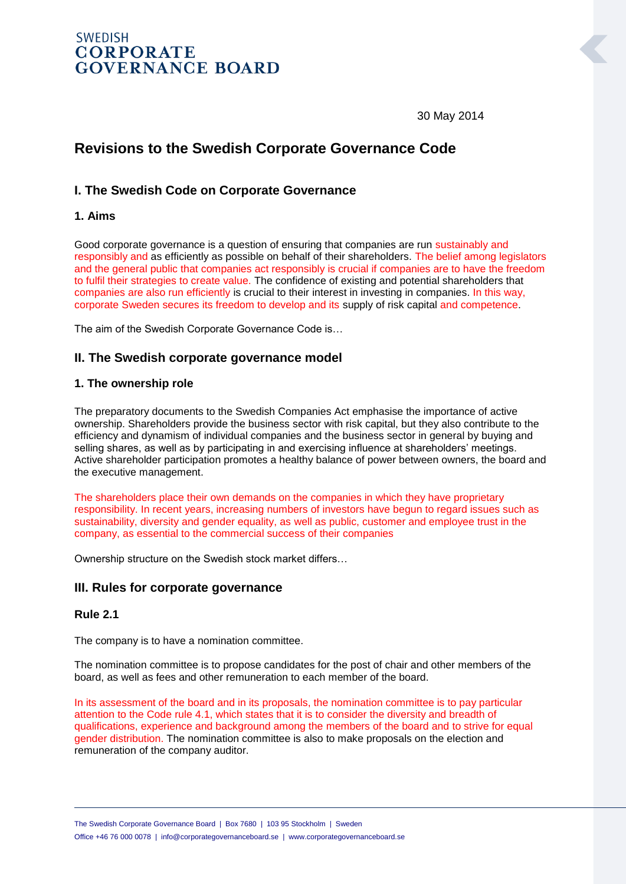# **SWEDISH CORPORATE GOVERNANCE BOARD**

30 May 2014

# **Revisions to the Swedish Corporate Governance Code**

## **I. The Swedish Code on Corporate Governance**

#### **1. Aims**

Good corporate governance is a question of ensuring that companies are run sustainably and responsibly and as efficiently as possible on behalf of their shareholders. The belief among legislators and the general public that companies act responsibly is crucial if companies are to have the freedom to fulfil their strategies to create value. The confidence of existing and potential shareholders that companies are also run efficiently is crucial to their interest in investing in companies. In this way, corporate Sweden secures its freedom to develop and its supply of risk capital and competence.

The aim of the Swedish Corporate Governance Code is…

## **II. The Swedish corporate governance model**

#### **1. The ownership role**

The preparatory documents to the Swedish Companies Act emphasise the importance of active ownership. Shareholders provide the business sector with risk capital, but they also contribute to the efficiency and dynamism of individual companies and the business sector in general by buying and selling shares, as well as by participating in and exercising influence at shareholders' meetings. Active shareholder participation promotes a healthy balance of power between owners, the board and the executive management.

The shareholders place their own demands on the companies in which they have proprietary responsibility. In recent years, increasing numbers of investors have begun to regard issues such as sustainability, diversity and gender equality, as well as public, customer and employee trust in the company, as essential to the commercial success of their companies

Ownership structure on the Swedish stock market differs…

#### **III. Rules for corporate governance**

#### **Rule 2.1**

The company is to have a nomination committee.

The nomination committee is to propose candidates for the post of chair and other members of the board, as well as fees and other remuneration to each member of the board.

In its assessment of the board and in its proposals, the nomination committee is to pay particular attention to the Code rule 4.1, which states that it is to consider the diversity and breadth of qualifications, experience and background among the members of the board and to strive for equal gender distribution. The nomination committee is also to make proposals on the election and remuneration of the company auditor.